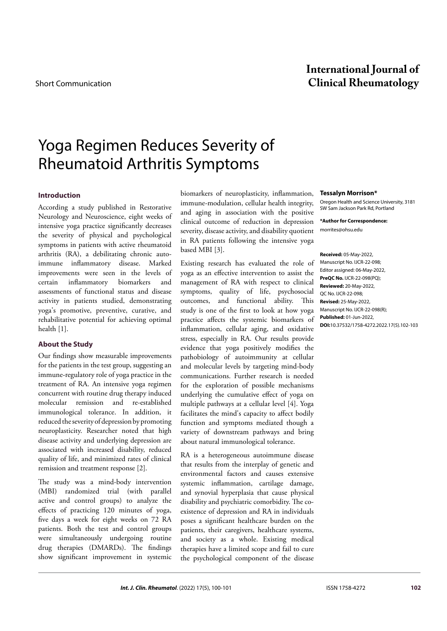# **International Journal of** Short Communication **Clinical Rheumatology**

# Yoga Regimen Reduces Severity of Rheumatoid Arthritis Symptoms

# **Introduction**

According a study published in Restorative Neurology and Neuroscience, eight weeks of intensive yoga practice significantly decreases the severity of physical and psychological symptoms in patients with active rheumatoid arthritis (RA), a debilitating chronic autoimmune inflammatory disease. Marked improvements were seen in the levels of certain inflammatory biomarkers and assessments of functional status and disease activity in patients studied, demonstrating yoga's promotive, preventive, curative, and rehabilitative potential for achieving optimal health [1].

# **About the Study**

Our findings show measurable improvements for the patients in the test group, suggesting an immune-regulatory role of yoga practice in the treatment of RA. An intensive yoga regimen concurrent with routine drug therapy induced molecular remission and re-established immunological tolerance. In addition, it reduced the severity of depression by promoting neuroplasticity. Researcher noted that high disease activity and underlying depression are associated with increased disability, reduced quality of life, and minimized rates of clinical remission and treatment response [2].

The study was a mind-body intervention (MBI) randomized trial (with parallel active and control groups) to analyze the effects of practicing 120 minutes of yoga, five days a week for eight weeks on 72 RA patients. Both the test and control groups were simultaneously undergoing routine drug therapies (DMARDs). The findings show significant improvement in systemic biomarkers of neuroplasticity, inflammation, immune-modulation, cellular health integrity, and aging in association with the positive clinical outcome of reduction in depression severity, disease activity, and disability quotient in RA patients following the intensive yoga based MBI [3].

Existing research has evaluated the role of yoga as an effective intervention to assist the management of RA with respect to clinical symptoms, quality of life, psychosocial outcomes, and functional ability. This study is one of the first to look at how yoga practice affects the systemic biomarkers of inflammation, cellular aging, and oxidative stress, especially in RA. Our results provide evidence that yoga positively modifies the pathobiology of autoimmunity at cellular and molecular levels by targeting mind-body communications. Further research is needed for the exploration of possible mechanisms underlying the cumulative effect of yoga on multiple pathways at a cellular level [4]. Yoga facilitates the mind's capacity to affect bodily function and symptoms mediated though a variety of downstream pathways and bring about natural immunological tolerance.

RA is a heterogeneous autoimmune disease that results from the interplay of genetic and environmental factors and causes extensive systemic inflammation, cartilage damage, and synovial hyperplasia that cause physical disability and psychiatric comorbidity. The coexistence of depression and RA in individuals poses a significant healthcare burden on the patients, their caregivers, healthcare systems, and society as a whole. Existing medical therapies have a limited scope and fail to cure the psychological component of the disease

#### **Tessalyn Morrison\***

Oregon Health and Science University, 3181 SW Sam Jackson Park Rd, Portland

**\*Author for Correspondence:**  [morrites@ohsu.edu](mailto:morrites@ohsu.edu)

**Received:** 05-May-2022, Manuscript No. IJCR-22-098; Editor assigned: 06-May-2022, **PreQC No.** IJCR-22-098(PQ); **Reviewed:** 20-May-2022, QC No. IJCR-22-098; **Revised:** 25-May-2022, Manuscript No. IJCR-22-098(R); **Published:** 01-Jun-2022, **DOI:**10.37532/1758-4272.2022.17(5).102-103